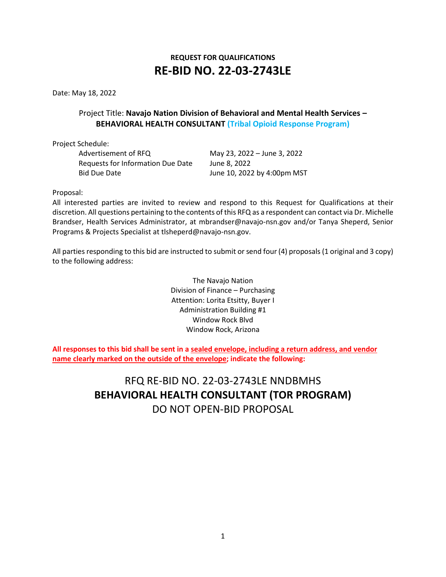# **REQUEST FOR QUALIFICATIONS RE-BID NO. 22-03-2743LE**

Date: May 18, 2022

# Project Title: **Navajo Nation Division of Behavioral and Mental Health Services – BEHAVIORAL HEALTH CONSULTANT (Tribal Opioid Response Program)**

Project Schedule:

Advertisement of RFQ May 23, 2022 – June 3, 2022 Requests for Information Due Date June 8, 2022 Bid Due Date **June 10, 2022 by 4:00pm MST** 

Proposal:

All interested parties are invited to review and respond to this Request for Qualifications at their discretion. All questions pertaining to the contents of this RFQ as a respondent can contact via Dr. Michelle Brandser, Health Services Administrator, at mbrandser@navajo-nsn.gov and/or Tanya Sheperd, Senior Programs & Projects Specialist at tlsheperd@navajo-nsn.gov.

All parties responding to this bid are instructed to submit or send four (4) proposals (1 original and 3 copy) to the following address:

> The Navajo Nation Division of Finance – Purchasing Attention: Lorita Etsitty, Buyer I Administration Building #1 Window Rock Blvd Window Rock, Arizona

**All responses to this bid shall be sent in a sealed envelope, including a return address, and vendor name clearly marked on the outside of the envelope; indicate the following:**

> RFQ RE-BID NO. 22-03-2743LE NNDBMHS **BEHAVIORAL HEALTH CONSULTANT (TOR PROGRAM)**  DO NOT OPEN-BID PROPOSAL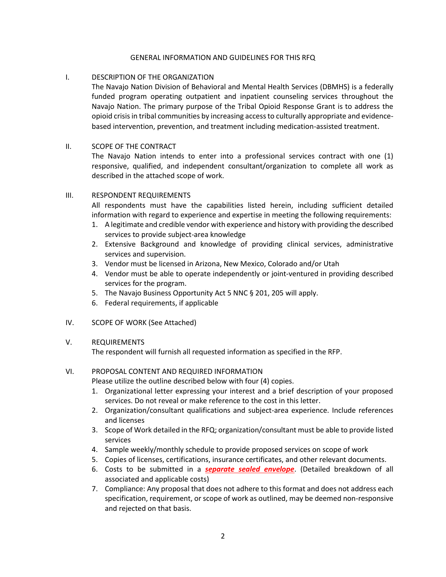#### GENERAL INFORMATION AND GUIDELINES FOR THIS RFQ

### I. DESCRIPTION OF THE ORGANIZATION

The Navajo Nation Division of Behavioral and Mental Health Services (DBMHS) is a federally funded program operating outpatient and inpatient counseling services throughout the Navajo Nation. The primary purpose of the Tribal Opioid Response Grant is to address the opioid crisis in tribal communities by increasing access to culturally appropriate and evidencebased intervention, prevention, and treatment including medication-assisted treatment.

#### II. SCOPE OF THE CONTRACT

The Navajo Nation intends to enter into a professional services contract with one (1) responsive, qualified, and independent consultant/organization to complete all work as described in the attached scope of work.

#### III. RESPONDENT REQUIREMENTS

All respondents must have the capabilities listed herein, including sufficient detailed information with regard to experience and expertise in meeting the following requirements:

- 1. A legitimate and credible vendor with experience and history with providing the described services to provide subject-area knowledge
- 2. Extensive Background and knowledge of providing clinical services, administrative services and supervision.
- 3. Vendor must be licensed in Arizona, New Mexico, Colorado and/or Utah
- 4. Vendor must be able to operate independently or joint-ventured in providing described services for the program.
- 5. The Navajo Business Opportunity Act 5 NNC § 201, 205 will apply.
- 6. Federal requirements, if applicable
- IV. SCOPE OF WORK (See Attached)

# V. REQUIREMENTS

The respondent will furnish all requested information as specified in the RFP.

# VI. PROPOSAL CONTENT AND REQUIRED INFORMATION

Please utilize the outline described below with four (4) copies.

- 1. Organizational letter expressing your interest and a brief description of your proposed services. Do not reveal or make reference to the cost in this letter.
- 2. Organization/consultant qualifications and subject-area experience. Include references and licenses
- 3. Scope of Work detailed in the RFQ; organization/consultant must be able to provide listed services
- 4. Sample weekly/monthly schedule to provide proposed services on scope of work
- 5. Copies of licenses, certifications, insurance certificates, and other relevant documents.
- 6. Costs to be submitted in a *separate sealed envelope*. (Detailed breakdown of all associated and applicable costs)
- 7. Compliance: Any proposal that does not adhere to this format and does not address each specification, requirement, or scope of work as outlined, may be deemed non-responsive and rejected on that basis.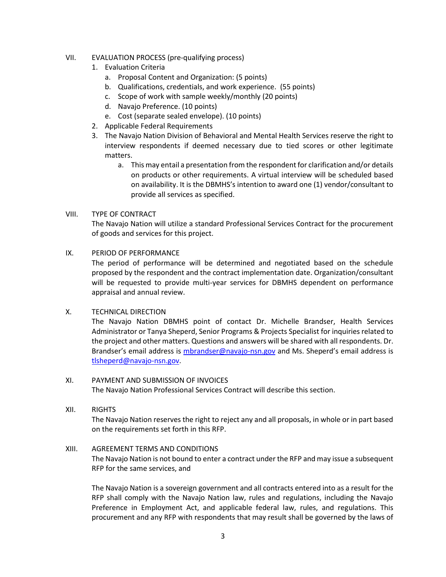- VII. EVALUATION PROCESS (pre-qualifying process)
	- 1. Evaluation Criteria
		- a. Proposal Content and Organization: (5 points)
		- b. Qualifications, credentials, and work experience. (55 points)
		- c. Scope of work with sample weekly/monthly (20 points)
		- d. Navajo Preference. (10 points)
		- e. Cost (separate sealed envelope). (10 points)
	- 2. Applicable Federal Requirements
	- 3. The Navajo Nation Division of Behavioral and Mental Health Services reserve the right to interview respondents if deemed necessary due to tied scores or other legitimate matters.
		- a. This may entail a presentation from the respondent for clarification and/or details on products or other requirements. A virtual interview will be scheduled based on availability. It is the DBMHS's intention to award one (1) vendor/consultant to provide all services as specified.

#### VIII. TYPE OF CONTRACT

The Navajo Nation will utilize a standard Professional Services Contract for the procurement of goods and services for this project.

# IX. PERIOD OF PERFORMANCE

The period of performance will be determined and negotiated based on the schedule proposed by the respondent and the contract implementation date. Organization/consultant will be requested to provide multi-year services for DBMHS dependent on performance appraisal and annual review.

#### X. TECHNICAL DIRECTION

The Navajo Nation DBMHS point of contact Dr. Michelle Brandser, Health Services Administrator or Tanya Sheperd, Senior Programs & Projects Specialist for inquiries related to the project and other matters. Questions and answers will be shared with all respondents. Dr. Brandser's email address is [mbrandser@navajo-nsn.gov](mailto:mbrandser@navajo-nsn.gov) and Ms. Sheperd's email address is [tlsheperd@navajo-nsn.gov.](mailto:tlsheperd@navajo-nsn.gov)

# XI. PAYMENT AND SUBMISSION OF INVOICES

The Navajo Nation Professional Services Contract will describe this section.

#### XII. RIGHTS

The Navajo Nation reserves the right to reject any and all proposals, in whole or in part based on the requirements set forth in this RFP.

### XIII. AGREEMENT TERMS AND CONDITIONS

The Navajo Nation is not bound to enter a contract under the RFP and may issue a subsequent RFP for the same services, and

The Navajo Nation is a sovereign government and all contracts entered into as a result for the RFP shall comply with the Navajo Nation law, rules and regulations, including the Navajo Preference in Employment Act, and applicable federal law, rules, and regulations. This procurement and any RFP with respondents that may result shall be governed by the laws of